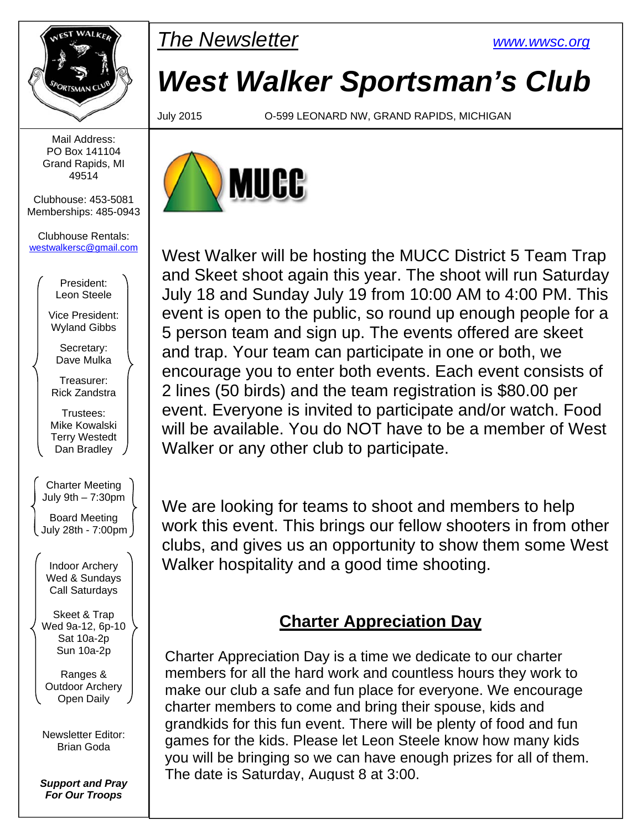

**PMARKER** The Newsletter www.wwsc.org

## *West Walker Sportsman's Club*

July 2015 O-599 LEONARD NW, GRAND RAPIDS, MICHIGAN



West Walker will be hosting the MUCC District 5 Team Trap and Skeet shoot again this year. The shoot will run Saturday July 18 and Sunday July 19 from 10:00 AM to 4:00 PM. This event is open to the public, so round up enough people for a 5 person team and sign up. The events offered are skeet and trap. Your team can participate in one or both, we encourage you to enter both events. Each event consists of 2 lines (50 birds) and the team registration is \$80.00 per event. Everyone is invited to participate and/or watch. Food will be available. You do NOT have to be a member of West Walker or any other club to participate.

We are looking for teams to shoot and members to help work this event. This brings our fellow shooters in from other clubs, and gives us an opportunity to show them some West Walker hospitality and a good time shooting.

## **Charter Appreciation Day**

Charter Appreciation Day is a time we dedicate to our charter members for all the hard work and countless hours they work to make our club a safe and fun place for everyone. We encourage charter members to come and bring their spouse, kids and grandkids for this fun event. There will be plenty of food and fun games for the kids. Please let Leon Steele know how many kids you will be bringing so we can have enough prizes for all of them. The date is Saturday, August 8 at 3:00.

Mail Address: PO Box 141104 Grand Rapids, MI 49514

Clubhouse: 453-5081 Memberships: 485-0943

Clubhouse Rentals: westwalkersc@gmail.com

> President: Leon Steele

Vice President: Wyland Gibbs

Secretary: Dave Mulka

Treasurer: Rick Zandstra

Trustees: Mike Kowalski Terry Westedt Dan Bradley

Charter Meeting July 9th – 7:30pm Board Meeting July 28th - 7:00pm

Indoor Archery Wed & Sundays Call Saturdays

Skeet & Trap Wed 9a-12, 6p-10 Sat 10a-2p Sun 10a-2p

Ranges & Outdoor Archery Open Daily

Newsletter Editor: Brian Goda

*Support and Pray For Our Troops*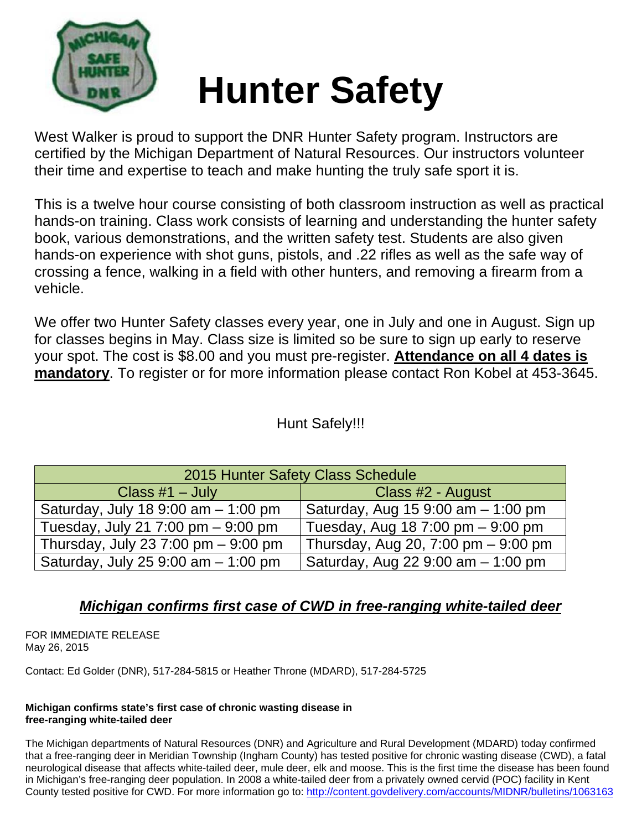

# **Hunter Safety**

West Walker is proud to support the DNR Hunter Safety program. Instructors are certified by the Michigan Department of Natural Resources. Our instructors volunteer their time and expertise to teach and make hunting the truly safe sport it is.

This is a twelve hour course consisting of both classroom instruction as well as practical hands-on training. Class work consists of learning and understanding the hunter safety book, various demonstrations, and the written safety test. Students are also given hands-on experience with shot guns, pistols, and .22 rifles as well as the safe way of crossing a fence, walking in a field with other hunters, and removing a firearm from a vehicle.

We offer two Hunter Safety classes every year, one in July and one in August. Sign up for classes begins in May. Class size is limited so be sure to sign up early to reserve your spot. The cost is \$8.00 and you must pre-register. **Attendance on all 4 dates is mandatory**. To register or for more information please contact Ron Kobel at 453-3645.

## Hunt Safely!!!

| 2015 Hunter Safety Class Schedule     |                                     |  |  |  |  |
|---------------------------------------|-------------------------------------|--|--|--|--|
| Class $#1 - July$                     | Class #2 - August                   |  |  |  |  |
| Saturday, July 18 9:00 am $-$ 1:00 pm | Saturday, Aug 15 9:00 am - 1:00 pm  |  |  |  |  |
| Tuesday, July 21 7:00 pm $-$ 9:00 pm  | Tuesday, Aug 18 7:00 pm $-9:00$ pm  |  |  |  |  |
| Thursday, July 23 7:00 pm - 9:00 pm   | Thursday, Aug 20, 7:00 pm - 9:00 pm |  |  |  |  |
| Saturday, July 25 9:00 am - 1:00 pm   | Saturday, Aug 22 9:00 am - 1:00 pm  |  |  |  |  |

## *Michigan confirms first case of CWD in free-ranging white-tailed deer*

FOR IMMEDIATE RELEASE May 26, 2015

Contact: Ed Golder (DNR), 517-284-5815 or Heather Throne (MDARD), 517-284-5725

#### **Michigan confirms state's first case of chronic wasting disease in free-ranging white-tailed deer**

The Michigan departments of Natural Resources (DNR) and Agriculture and Rural Development (MDARD) today confirmed that a free-ranging deer in Meridian Township (Ingham County) has tested positive for chronic wasting disease (CWD), a fatal neurological disease that affects white-tailed deer, mule deer, elk and moose. This is the first time the disease has been found in Michigan's free-ranging deer population. In 2008 a white-tailed deer from a privately owned cervid (POC) facility in Kent County tested positive for CWD. For more information go to: http://content.govdelivery.com/accounts/MIDNR/bulletins/1063163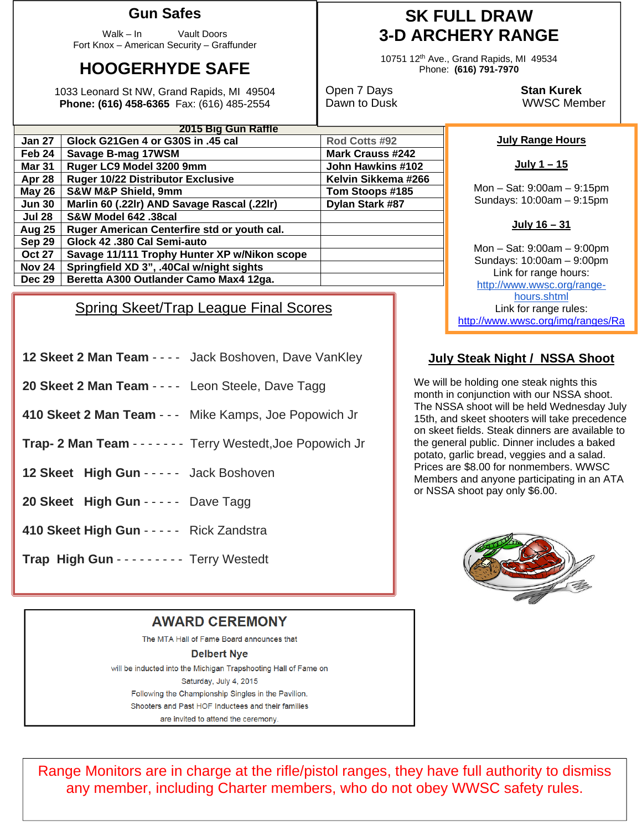## **Gun Safes**

Walk – In Vault Doors Fort Knox – American Security – Graffunder

## **HOOGERHYDE SAFE**

1033 Leonard St NW, Grand Rapids, MI 49504 **Phone: (616) 458-6365** Fax: (616) 485-2554

| Glock G21Gen 4 or G30S in .45 cal            | Rod Cotts #92           |  |  |  |
|----------------------------------------------|-------------------------|--|--|--|
| Savage B-mag 17WSM                           | <b>Mark Crauss #242</b> |  |  |  |
| Ruger LC9 Model 3200 9mm                     | John Hawkins #102       |  |  |  |
| <b>Ruger 10/22 Distributor Exclusive</b>     | Kelvin Sikkema #266     |  |  |  |
| <b>S&amp;W M&amp;P Shield, 9mm</b>           | Tom Stoops #185         |  |  |  |
| Marlin 60 (.22lr) AND Savage Rascal (.22lr)  | Dylan Stark #87         |  |  |  |
| S&W Model 642 .38cal                         |                         |  |  |  |
| Ruger American Centerfire std or youth cal.  |                         |  |  |  |
| Glock 42 .380 Cal Semi-auto                  |                         |  |  |  |
| Savage 11/111 Trophy Hunter XP w/Nikon scope |                         |  |  |  |
| Springfield XD 3", .40Cal w/night sights     |                         |  |  |  |
| Beretta A300 Outlander Camo Max4 12ga.       |                         |  |  |  |
|                                              | 2015 Big Gun Raffle     |  |  |  |

### Spring Skeet/Trap League Final Scores

- **12 Skeet 2 Man Team** - - Jack Boshoven, Dave VanKley
- **20 Skeet 2 Man Team - - Leon Steele, Dave Tagg**
- **410 Skeet 2 Man Team** - Mike Kamps, Joe Popowich Jr
- **Trap- 2 Man Team** - - - Terry Westedt,Joe Popowich Jr
- **12 Skeet High Gun** - - Jack Boshoven
- **20 Skeet High Gun** - - Dave Tagg
- **410 Skeet High Gun** - - Rick Zandstra
- **Trap High Gun** - - - - Terry Westedt

## **SK FULL DRAW 3-D ARCHERY RANGE**

10751 12th Ave., Grand Rapids, MI 49534 Phone: **(616) 791-7970** 

Open 7 Days **Stan Kurek** Dawn to Dusk WWSC Member

#### **July Range Hours**

```
July 1 – 15
```
Mon – Sat: 9:00am – 9:15pm Sundays: 10:00am – 9:15pm

#### **July 16 – 31**

Mon – Sat: 9:00am – 9:00pm Sundays: 10:00am – 9:00pm Link for range hours: http://www.wwsc.org/rangehours.shtml Link for range rules: http://www.wwsc.org/img/ranges/Ra

#### **July Steak Night / NSSA Shoot**

We will be holding one steak nights this month in conjunction with our NSSA shoot. The NSSA shoot will be held Wednesday July 15th, and skeet shooters will take precedence on skeet fields. Steak dinners are available to the general public. Dinner includes a baked potato, garlic bread, veggies and a salad. Prices are \$8.00 for nonmembers. WWSC Members and anyone participating in an ATA or NSSA shoot pay only \$6.00.



#### **AWARD CEREMONY**

The MTA Hall of Fame Board announces that **Delbert Nve** will be inducted into the Michigan Trapshooting Hall of Fame on Saturday, July 4, 2015 Following the Championship Singles in the Pavilion. Shooters and Past HOF Inductees and their families are invited to attend the ceremony.

Range Monitors are in charge at the rifle/pistol ranges, they have full authority to dismiss any member, including Charter members, who do not obey WWSC safety rules.